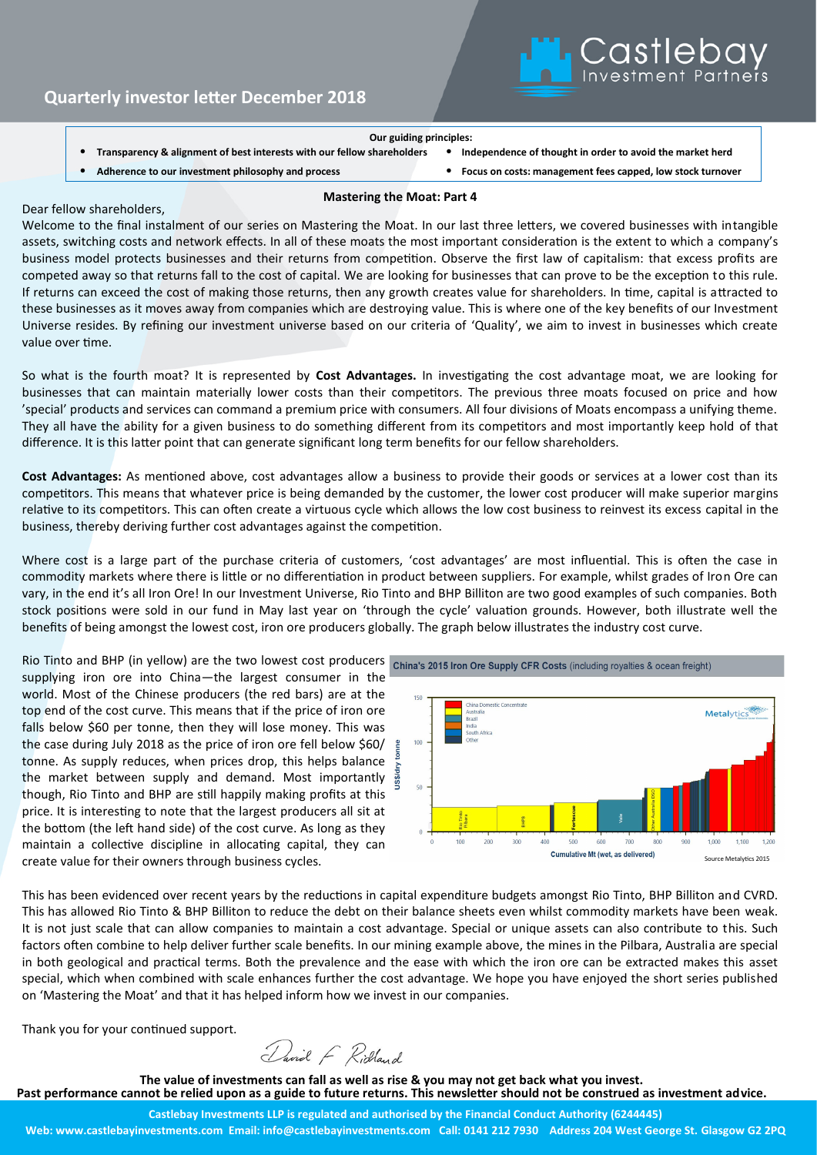#### **Our guiding principles:**

- **Transparency & alignment of best interests with our fellow shareholders** • **Independence of thought in order to avoid the market herd**
	-
- 
- 
- **Adherence to our investment philosophy and process** • **Focus on costs: management fees capped, low stock turnover**

Castleba

## **Mastering the Moat: Part 4**

### Dear fellow shareholders,

Welcome to the final instalment of our series on Mastering the Moat. In our last three letters, we covered businesses with intangible assets, switching costs and network effects. In all of these moats the most important consideration is the extent to which a company's business model protects businesses and their returns from competition. Observe the first law of capitalism: that excess profits are competed away so that returns fall to the cost of capital. We are looking for businesses that can prove to be the exception to this rule. If returns can exceed the cost of making those returns, then any growth creates value for shareholders. In time, capital is attracted to these businesses as it moves away from companies which are destroying value. This is where one of the key benefits of our Investment Universe resides. By refining our investment universe based on our criteria of 'Quality', we aim to invest in businesses which create value over time.

So what is the fourth moat? It is represented by **Cost Advantages.** In investigating the cost advantage moat, we are looking for businesses that can maintain materially lower costs than their competitors. The previous three moats focused on price and how 'special' products and services can command a premium price with consumers. All four divisions of Moats encompass a unifying theme. They all have the ability for a given business to do something different from its competitors and most importantly keep hold of that difference. It is this latter point that can generate significant long term benefits for our fellow shareholders.

**Cost Advantages:** As mentioned above, cost advantages allow a business to provide their goods or services at a lower cost than its competitors. This means that whatever price is being demanded by the customer, the lower cost producer will make superior margins relative to its competitors. This can often create a virtuous cycle which allows the low cost business to reinvest its excess capital in the business, thereby deriving further cost advantages against the competition.

Where cost is a large part of the purchase criteria of customers, 'cost advantages' are most influential. This is often the case in commodity markets where there is little or no differentiation in product between suppliers. For example, whilst grades of Iron Ore can vary, in the end it's all Iron Ore! In our Investment Universe, Rio Tinto and BHP Billiton are two good examples of such companies. Both stock positions were sold in our fund in May last year on 'through the cycle' valuation grounds. However, both illustrate well the benefits of being amongst the lowest cost, iron ore producers globally. The graph below illustrates the industry cost curve.

Rio Tinto and BHP (in yellow) are the two lowest cost producers china's 2015 Iron Ore Supply CFR Costs (including royalties & ocean freight) supplying iron ore into China—the largest consumer in the world. Most of the Chinese producers (the red bars) are at the top end of the cost curve. This means that if the price of iron ore falls below \$60 per tonne, then they will lose money. This was the case during July 2018 as the price of iron ore fell below \$60/ tonne. As supply reduces, when prices drop, this helps balance tonne. As supply reduces, when prices drop, this helps balance  $\frac{1}{2}$  the market between supply and demand. Most importantly  $\frac{3}{22}$ though, Rio Tinto and BHP are still happily making profits at this price. It is interesting to note that the largest producers all sit at the bottom (the left hand side) of the cost curve. As long as they maintain a collective discipline in allocating capital, they can create value for their owners through business cycles.



This has been evidenced over recent years by the reductions in capital expenditure budgets amongst Rio Tinto, BHP Billiton and CVRD. This has allowed Rio Tinto & BHP Billiton to reduce the debt on their balance sheets even whilst commodity markets have been weak. It is not just scale that can allow companies to maintain a cost advantage. Special or unique assets can also contribute to this. Such factors often combine to help deliver further scale benefits. In our mining example above, the mines in the Pilbara, Australia are special in both geological and practical terms. Both the prevalence and the ease with which the iron ore can be extracted makes this asset special, which when combined with scale enhances further the cost advantage. We hope you have enjoyed the short series published on 'Mastering the Moat' and that it has helped inform how we invest in our companies.

Thank you for your continued support.

David F Ridland

**The value of investments can fall as well as rise & you may not get back what you invest. Past performance cannot be relied upon as a guide to future returns. This newsletter should not be construed as investment advice.**